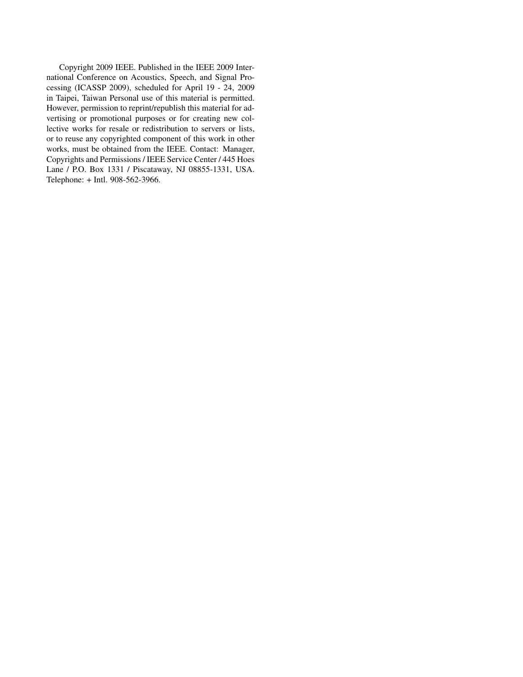Copyright 2009 IEEE. Published in the IEEE 2009 International Conference on Acoustics, Speech, and Signal Processing (ICASSP 2009), scheduled for April 19 - 24, 2009 in Taipei, Taiwan Personal use of this material is permitted. However, permission to reprint/republish this material for advertising or promotional purposes or for creating new collective works for resale or redistribution to servers or lists, or to reuse any copyrighted component of this work in other works, must be obtained from the IEEE. Contact: Manager, Copyrights and Permissions / IEEE Service Center / 445 Hoes Lane / P.O. Box 1331 / Piscataway, NJ 08855-1331, USA. Telephone: + Intl. 908-562-3966.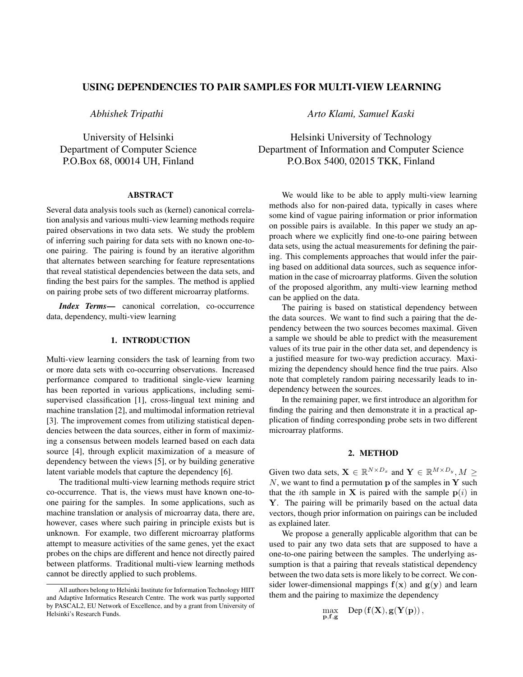## **USING DEPENDENCIES TO PAIR SAMPLES FOR MULTI-VIEW LEARNING**

*Abhishek Tripathi*

University of Helsinki Department of Computer Science P.O.Box 68, 00014 UH, Finland

## **ABSTRACT**

Several data analysis tools such as (kernel) canonical correlation analysis and various multi-view learning methods require paired observations in two data sets. We study the problem of inferring such pairing for data sets with no known one-toone pairing. The pairing is found by an iterative algorithm that alternates between searching for feature representations that reveal statistical dependencies between the data sets, and finding the best pairs for the samples. The method is applied on pairing probe sets of two different microarray platforms.

*Index Terms***—** canonical correlation, co-occurrence data, dependency, multi-view learning

## **1. INTRODUCTION**

Multi-view learning considers the task of learning from two or more data sets with co-occurring observations. Increased performance compared to traditional single-view learning has been reported in various applications, including semisupervised classification [1], cross-lingual text mining and machine translation [2], and multimodal information retrieval [3]. The improvement comes from utilizing statistical dependencies between the data sources, either in form of maximizing a consensus between models learned based on each data source [4], through explicit maximization of a measure of dependency between the views [5], or by building generative latent variable models that capture the dependency [6].

The traditional multi-view learning methods require strict co-occurrence. That is, the views must have known one-toone pairing for the samples. In some applications, such as machine translation or analysis of microarray data, there are, however, cases where such pairing in principle exists but is unknown. For example, two different microarray platforms attempt to measure activities of the same genes, yet the exact probes on the chips are different and hence not directly paired between platforms. Traditional multi-view learning methods cannot be directly applied to such problems.

*Arto Klami, Samuel Kaski*

# Helsinki University of Technology Department of Information and Computer Science P.O.Box 5400, 02015 TKK, Finland

We would like to be able to apply multi-view learning methods also for non-paired data, typically in cases where some kind of vague pairing information or prior information on possible pairs is available. In this paper we study an approach where we explicitly find one-to-one pairing between data sets, using the actual measurements for defining the pairing. This complements approaches that would infer the pairing based on additional data sources, such as sequence information in the case of microarray platforms. Given the solution of the proposed algorithm, any multi-view learning method can be applied on the data.

The pairing is based on statistical dependency between the data sources. We want to find such a pairing that the dependency between the two sources becomes maximal. Given a sample we should be able to predict with the measurement values of its true pair in the other data set, and dependency is a justified measure for two-way prediction accuracy. Maximizing the dependency should hence find the true pairs. Also note that completely random pairing necessarily leads to independency between the sources.

In the remaining paper, we first introduce an algorithm for finding the pairing and then demonstrate it in a practical application of finding corresponding probe sets in two different microarray platforms.

## **2. METHOD**

Given two data sets,  $\mathbf{X} \in \mathbb{R}^{N \times D_x}$  and  $\mathbf{Y} \in \mathbb{R}^{M \times D_y}, M \geq 1$  $N$ , we want to find a permutation p of the samples in Y such that the *i*th sample in **X** is paired with the sample  $p(i)$  in Y. The pairing will be primarily based on the actual data vectors, though prior information on pairings can be included as explained later.

We propose a generally applicable algorithm that can be used to pair any two data sets that are supposed to have a one-to-one pairing between the samples. The underlying assumption is that a pairing that reveals statistical dependency between the two data sets is more likely to be correct. We consider lower-dimensional mappings  $f(x)$  and  $g(y)$  and learn them and the pairing to maximize the dependency

$$
\max_{\mathbf{p}, \mathbf{f}, \mathbf{g}} \quad \text{Dep}(\mathbf{f}(\mathbf{X}), \mathbf{g}(\mathbf{Y}(\mathbf{p}))\,,
$$

All authors belong to Helsinki Institute for Information Technology HIIT and Adaptive Informatics Research Centre. The work was partly supported by PASCAL2, EU Network of Excellence, and by a grant from University of Helsinki's Research Funds.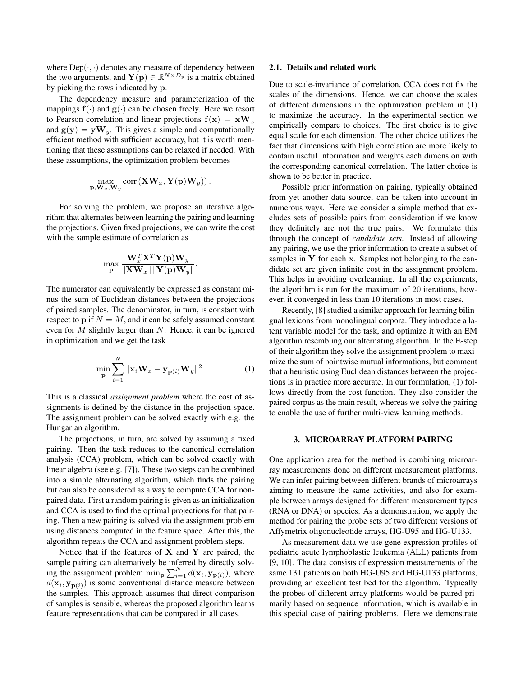where  $Dep(\cdot, \cdot)$  denotes any measure of dependency between the two arguments, and  $\mathbf{Y}(\mathbf{p}) \in \mathbb{R}^{N \times D_y}$  is a matrix obtained by picking the rows indicated by p.

The dependency measure and parameterization of the mappings  $f(\cdot)$  and  $g(\cdot)$  can be chosen freely. Here we resort to Pearson correlation and linear projections  $f(x) = xW_x$ and  $g(y) = yW_y$ . This gives a simple and computationally efficient method with sufficient accuracy, but it is worth mentioning that these assumptions can be relaxed if needed. With these assumptions, the optimization problem becomes

$$
\max_{\mathbf{p}, \mathbf{W}_x, \mathbf{W}_y} \text{corr}\left(\mathbf{X} \mathbf{W}_x, \mathbf{Y}(\mathbf{p}) \mathbf{W}_y\right).
$$

For solving the problem, we propose an iterative algorithm that alternates between learning the pairing and learning the projections. Given fixed projections, we can write the cost with the sample estimate of correlation as

$$
\max_{\mathbf{p}} \frac{\mathbf{W}_x^T\mathbf{X}^T\mathbf{Y}(\mathbf{p})\mathbf{W}_y}{\|\mathbf{X}\mathbf{W}_x\|\|\mathbf{Y}(\mathbf{p})\mathbf{W}_y\|}.
$$

The numerator can equivalently be expressed as constant minus the sum of Euclidean distances between the projections of paired samples. The denominator, in turn, is constant with respect to **p** if  $N = M$ , and it can be safely assumed constant even for M slightly larger than N. Hence, it can be ignored in optimization and we get the task

$$
\min_{\mathbf{p}} \sum_{i=1}^{N} \|\mathbf{x}_i \mathbf{W}_x - \mathbf{y}_{\mathbf{p}(i)} \mathbf{W}_y\|^2.
$$
 (1)

This is a classical *assignment problem* where the cost of assignments is defined by the distance in the projection space. The assignment problem can be solved exactly with e.g. the Hungarian algorithm.

The projections, in turn, are solved by assuming a fixed pairing. Then the task reduces to the canonical correlation analysis (CCA) problem, which can be solved exactly with linear algebra (see e.g. [7]). These two steps can be combined into a simple alternating algorithm, which finds the pairing but can also be considered as a way to compute CCA for nonpaired data. First a random pairing is given as an initialization and CCA is used to find the optimal projections for that pairing. Then a new pairing is solved via the assignment problem using distances computed in the feature space. After this, the algorithm repeats the CCA and assignment problem steps.

Notice that if the features of  $X$  and  $Y$  are paired, the sample pairing can alternatively be inferred by directly solving the assignment problem  $\min_{\mathbf{p}} \sum_{i=1}^{N} d(\mathbf{x}_i, \mathbf{y}_{\mathbf{p}(i)})$ , where  $d(\mathbf{x}_i, \mathbf{y}_{p(i)})$  is some conventional distance measure between the samples. This approach assumes that direct comparison of samples is sensible, whereas the proposed algorithm learns feature representations that can be compared in all cases.

#### **2.1. Details and related work**

Due to scale-invariance of correlation, CCA does not fix the scales of the dimensions. Hence, we can choose the scales of different dimensions in the optimization problem in (1) to maximize the accuracy. In the experimental section we empirically compare to choices. The first choice is to give equal scale for each dimension. The other choice utilizes the fact that dimensions with high correlation are more likely to contain useful information and weights each dimension with the corresponding canonical correlation. The latter choice is shown to be better in practice.

Possible prior information on pairing, typically obtained from yet another data source, can be taken into account in numerous ways. Here we consider a simple method that excludes sets of possible pairs from consideration if we know they definitely are not the true pairs. We formulate this through the concept of *candidate sets*. Instead of allowing any pairing, we use the prior information to create a subset of samples in  $Y$  for each  $x$ . Samples not belonging to the candidate set are given infinite cost in the assignment problem. This helps in avoiding overlearning. In all the experiments, the algorithm is run for the maximum of 20 iterations, however, it converged in less than 10 iterations in most cases.

Recently, [8] studied a similar approach for learning bilingual lexicons from monolingual corpora. They introduce a latent variable model for the task, and optimize it with an EM algorithm resembling our alternating algorithm. In the E-step of their algorithm they solve the assignment problem to maximize the sum of pointwise mutual informations, but comment that a heuristic using Euclidean distances between the projections is in practice more accurate. In our formulation, (1) follows directly from the cost function. They also consider the paired corpus as the main result, whereas we solve the pairing to enable the use of further multi-view learning methods.

#### **3. MICROARRAY PLATFORM PAIRING**

One application area for the method is combining microarray measurements done on different measurement platforms. We can infer pairing between different brands of microarrays aiming to measure the same activities, and also for example between arrays designed for different measurement types (RNA or DNA) or species. As a demonstration, we apply the method for pairing the probe sets of two different versions of Affymetrix oligonucleotide arrays, HG-U95 and HG-U133.

As measurement data we use gene expression profiles of pediatric acute lymphoblastic leukemia (ALL) patients from [9, 10]. The data consists of expression measurements of the same 131 patients on both HG-U95 and HG-U133 platforms, providing an excellent test bed for the algorithm. Typically the probes of different array platforms would be paired primarily based on sequence information, which is available in this special case of pairing problems. Here we demonstrate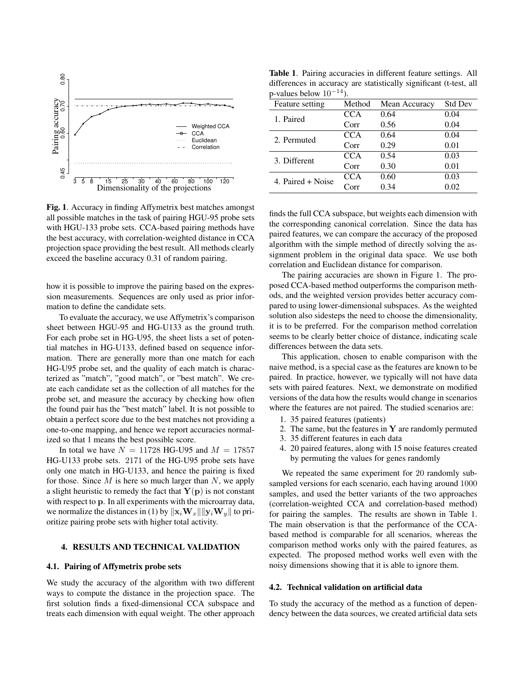

**Fig. 1**. Accuracy in finding Affymetrix best matches amongst all possible matches in the task of pairing HGU-95 probe sets with HGU-133 probe sets. CCA-based pairing methods have the best accuracy, with correlation-weighted distance in CCA projection space providing the best result. All methods clearly exceed the baseline accuracy 0.31 of random pairing.

how it is possible to improve the pairing based on the expression measurements. Sequences are only used as prior information to define the candidate sets.

To evaluate the accuracy, we use Affymetrix's comparison sheet between HGU-95 and HG-U133 as the ground truth. For each probe set in HG-U95, the sheet lists a set of potential matches in HG-U133, defined based on sequence information. There are generally more than one match for each HG-U95 probe set, and the quality of each match is characterized as "match", "good match", or "best match". We create each candidate set as the collection of all matches for the probe set, and measure the accuracy by checking how often the found pair has the "best match" label. It is not possible to obtain a perfect score due to the best matches not providing a one-to-one mapping, and hence we report accuracies normalized so that 1 means the best possible score.

In total we have  $N = 11728$  HG-U95 and  $M = 17857$ HG-U133 probe sets. 2171 of the HG-U95 probe sets have only one match in HG-U133, and hence the pairing is fixed for those. Since  $M$  is here so much larger than  $N$ , we apply a slight heuristic to remedy the fact that  $Y(p)$  is not constant with respect to p. In all experiments with the microarray data, we normalize the distances in (1) by  $\|\mathbf{x}_i \mathbf{W}_x\| \|\mathbf{y}_i \mathbf{W}_y\|$  to prioritize pairing probe sets with higher total activity.

#### **4. RESULTS AND TECHNICAL VALIDATION**

## **4.1. Pairing of Affymetrix probe sets**

We study the accuracy of the algorithm with two different ways to compute the distance in the projection space. The first solution finds a fixed-dimensional CCA subspace and treats each dimension with equal weight. The other approach

**Table 1**. Pairing accuracies in different feature settings. All differences in accuracy are statistically significant (t-test, all p-values below  $10^{-14}$ ).

| Feature setting   | Method     | Mean Accuracy | <b>Std Dev</b> |
|-------------------|------------|---------------|----------------|
| 1. Paired         | <b>CCA</b> | 0.64          | 0.04           |
|                   | Corr       | 0.56          | 0.04           |
| 2. Permuted       | <b>CCA</b> | 0.64          | 0.04           |
|                   | Corr       | 0.29          | 0.01           |
| 3. Different      | <b>CCA</b> | 0.54          | 0.03           |
|                   | Corr       | 0.30          | 0.01           |
| 4. Paired + Noise | <b>CCA</b> | 0.60          | 0.03           |
|                   | Corr       | 0.34          | 0.02           |

finds the full CCA subspace, but weights each dimension with the corresponding canonical correlation. Since the data has paired features, we can compare the accuracy of the proposed algorithm with the simple method of directly solving the assignment problem in the original data space. We use both correlation and Euclidean distance for comparison.

The pairing accuracies are shown in Figure 1. The proposed CCA-based method outperforms the comparison methods, and the weighted version provides better accuracy compared to using lower-dimensional subspaces. As the weighted solution also sidesteps the need to choose the dimensionality, it is to be preferred. For the comparison method correlation seems to be clearly better choice of distance, indicating scale differences between the data sets.

This application, chosen to enable comparison with the naive method, is a special case as the features are known to be paired. In practice, however, we typically will not have data sets with paired features. Next, we demonstrate on modified versions of the data how the results would change in scenarios where the features are not paired. The studied scenarios are:

- 1. 35 paired features (patients)
- 2. The same, but the features in  $Y$  are randomly permuted
- 3. 35 different features in each data
- 4. 20 paired features, along with 15 noise features created by permuting the values for genes randomly

We repeated the same experiment for 20 randomly subsampled versions for each scenario, each having around 1000 samples, and used the better variants of the two approaches (correlation-weighted CCA and correlation-based method) for pairing the samples. The results are shown in Table 1. The main observation is that the performance of the CCAbased method is comparable for all scenarios, whereas the comparison method works only with the paired features, as expected. The proposed method works well even with the noisy dimensions showing that it is able to ignore them.

# **4.2. Technical validation on artificial data**

To study the accuracy of the method as a function of dependency between the data sources, we created artificial data sets